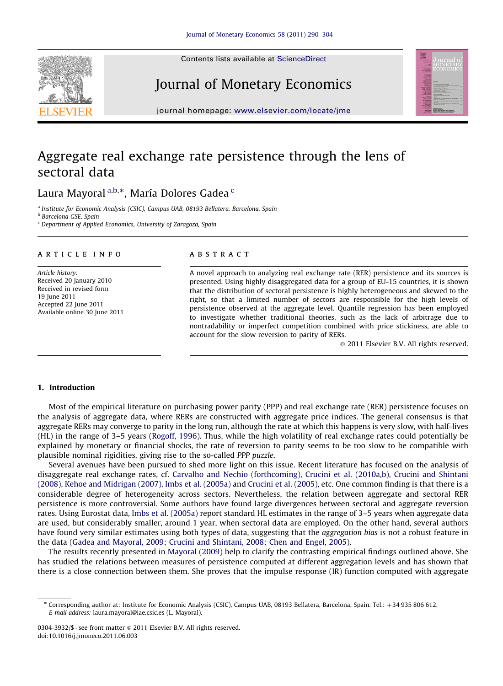Contents lists available at ScienceDirect

Journal of Monetary Economics



journal homepage: <www.elsevier.com/locate/jme>

## Aggregate real exchange rate persistence through the lens of sectoral data

### Laura Mayoral <sup>a,b,</sup>\*, María Dolores Gadea <sup>c</sup>

<sup>a</sup> Institute for Economic Analysis (CSIC), Campus UAB, 08193 Bellatera, Barcelona, Spain

**b** Barcelona GSE, Spain

<sup>c</sup> Department of Applied Economics, University of Zaragoza, Spain

#### article info

Article history: Received 20 January 2010 Received in revised form 19 June 2011 Accepted 22 June 2011 Available online 30 June 2011

### **ABSTRACT**

A novel approach to analyzing real exchange rate (RER) persistence and its sources is presented. Using highly disaggregated data for a group of EU-15 countries, it is shown that the distribution of sectoral persistence is highly heterogeneous and skewed to the right, so that a limited number of sectors are responsible for the high levels of persistence observed at the aggregate level. Quantile regression has been employed to investigate whether traditional theories, such as the lack of arbitrage due to nontradability or imperfect competition combined with price stickiness, are able to account for the slow reversion to parity of RERs.

 $@$  2011 Elsevier B.V. All rights reserved.

#### 1. Introduction

Most of the empirical literature on purchasing power parity (PPP) and real exchange rate (RER) persistence focuses on the analysis of aggregate data, where RERs are constructed with aggregate price indices. The general consensus is that aggregate RERs may converge to parity in the long run, although the rate at which this happens is very slow, with half-lives (HL) in the range of 3–5 years ([Rogoff, 1996](#page--1-0)). Thus, while the high volatility of real exchange rates could potentially be explained by monetary or financial shocks, the rate of reversion to parity seems to be too slow to be compatible with plausible nominal rigidities, giving rise to the so-called PPP puzzle.

Several avenues have been pursued to shed more light on this issue. Recent literature has focused on the analysis of disaggregate real exchange rates, cf. [Carvalho and Nechio \(forthcoming\)](#page--1-0), [Crucini et al. \(2010a,b\)](#page--1-0), [Crucini and Shintani](#page--1-0) [\(2008\)](#page--1-0), [Kehoe and Midrigan \(2007\),](#page--1-0) [Imbs et al. \(2005a\)](#page--1-0) and [Crucini et al. \(2005\),](#page--1-0) etc. One common finding is that there is a considerable degree of heterogeneity across sectors. Nevertheless, the relation between aggregate and sectoral RER persistence is more controversial. Some authors have found large divergences between sectoral and aggregate reversion rates. Using Eurostat data, [Imbs et al. \(2005a\)](#page--1-0) report standard HL estimates in the range of 3–5 years when aggregate data are used, but considerably smaller, around 1 year, when sectoral data are employed. On the other hand, several authors have found very similar estimates using both types of data, suggesting that the *aggregation bias* is not a robust feature in the data ([Gadea and Mayoral, 2009](#page--1-0); [Crucini and Shintani, 2008;](#page--1-0) [Chen and Engel, 2005](#page--1-0)).

The results recently presented in [Mayoral \(2009\)](#page--1-0) help to clarify the contrasting empirical findings outlined above. She has studied the relations between measures of persistence computed at different aggregation levels and has shown that there is a close connection between them. She proves that the impulse response (IR) function computed with aggregate

<sup>\*</sup> Corresponding author at: Institute for Economic Analysis (CSIC), Campus UAB, 08193 Bellatera, Barcelona, Spain. Tel.: +34 935 806 612. E-mail address: [laura.mayoral@iae.csic.es \(L. Mayoral\).](mailto:laura.mayoral@iae.csic.es)

<sup>0304-3932/\$ -</sup> see front matter  $\odot$  2011 Elsevier B.V. All rights reserved. doi:[10.1016/j.jmoneco.2011.06.003](dx.doi.org/10.1016/j.jmoneco.2011.06.003)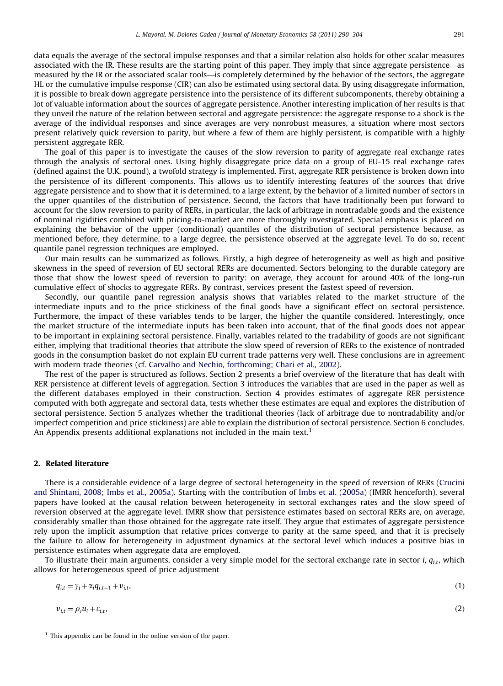data equals the average of the sectoral impulse responses and that a similar relation also holds for other scalar measures associated with the IR. These results are the starting point of this paper. They imply that since aggregate persistence—as measured by the IR or the associated scalar tools—is completely determined by the behavior of the sectors, the aggregate HL or the cumulative impulse response (CIR) can also be estimated using sectoral data. By using disaggregate information, it is possible to break down aggregate persistence into the persistence of its different subcomponents, thereby obtaining a lot of valuable information about the sources of aggregate persistence. Another interesting implication of her results is that they unveil the nature of the relation between sectoral and aggregate persistence: the aggregate response to a shock is the average of the individual responses and since averages are very nonrobust measures, a situation where most sectors present relatively quick reversion to parity, but where a few of them are highly persistent, is compatible with a highly persistent aggregate RER.

The goal of this paper is to investigate the causes of the slow reversion to parity of aggregate real exchange rates through the analysis of sectoral ones. Using highly disaggregate price data on a group of EU-15 real exchange rates (defined against the U.K. pound), a twofold strategy is implemented. First, aggregate RER persistence is broken down into the persistence of its different components. This allows us to identify interesting features of the sources that drive aggregate persistence and to show that it is determined, to a large extent, by the behavior of a limited number of sectors in the upper quantiles of the distribution of persistence. Second, the factors that have traditionally been put forward to account for the slow reversion to parity of RERs, in particular, the lack of arbitrage in nontradable goods and the existence of nominal rigidities combined with pricing-to-market are more thoroughly investigated. Special emphasis is placed on explaining the behavior of the upper (conditional) quantiles of the distribution of sectoral persistence because, as mentioned before, they determine, to a large degree, the persistence observed at the aggregate level. To do so, recent quantile panel regression techniques are employed.

Our main results can be summarized as follows. Firstly, a high degree of heterogeneity as well as high and positive skewness in the speed of reversion of EU sectoral RERs are documented. Sectors belonging to the durable category are those that show the lowest speed of reversion to parity: on average, they account for around 40% of the long-run cumulative effect of shocks to aggregate RERs. By contrast, services present the fastest speed of reversion.

Secondly, our quantile panel regression analysis shows that variables related to the market structure of the intermediate inputs and to the price stickiness of the final goods have a significant effect on sectoral persistence. Furthermore, the impact of these variables tends to be larger, the higher the quantile considered. Interestingly, once the market structure of the intermediate inputs has been taken into account, that of the final goods does not appear to be important in explaining sectoral persistence. Finally, variables related to the tradability of goods are not significant either, implying that traditional theories that attribute the slow speed of reversion of RERs to the existence of nontraded goods in the consumption basket do not explain EU current trade patterns very well. These conclusions are in agreement with modern trade theories (cf. [Carvalho and Nechio, forthcoming;](#page--1-0) [Chari et al., 2002\)](#page--1-0).

The rest of the paper is structured as follows. Section 2 presents a brief overview of the literature that has dealt with RER persistence at different levels of aggregation. Section 3 introduces the variables that are used in the paper as well as the different databases employed in their construction. Section 4 provides estimates of aggregate RER persistence computed with both aggregate and sectoral data, tests whether these estimates are equal and explores the distribution of sectoral persistence. Section 5 analyzes whether the traditional theories (lack of arbitrage due to nontradability and/or imperfect competition and price stickiness) are able to explain the distribution of sectoral persistence. Section 6 concludes. An Appendix presents additional explanations not included in the main text.<sup>1</sup>

#### 2. Related literature

There is a considerable evidence of a large degree of sectoral heterogeneity in the speed of reversion of RERs ([Crucini](#page--1-0) [and Shintani, 2008;](#page--1-0) [Imbs et al., 2005a](#page--1-0)). Starting with the contribution of [Imbs et al. \(2005a\)](#page--1-0) (IMRR henceforth), several papers have looked at the causal relation between heterogeneity in sectoral exchanges rates and the slow speed of reversion observed at the aggregate level. IMRR show that persistence estimates based on sectoral RERs are, on average, considerably smaller than those obtained for the aggregate rate itself. They argue that estimates of aggregate persistence rely upon the implicit assumption that relative prices converge to parity at the same speed, and that it is precisely the failure to allow for heterogeneity in adjustment dynamics at the sectoral level which induces a positive bias in persistence estimates when aggregate data are employed.

To illustrate their main arguments, consider a very simple model for the sectoral exchange rate in sector  $i, q_{i,t}$ , which allows for heterogeneous speed of price adjustment

$$
q_{i,t} = \gamma_i + \alpha_i q_{i,t-1} + \nu_{i,t},\tag{1}
$$

$$
v_{i,t} = \rho_i u_t + \varepsilon_{i,t},\tag{2}
$$

 $<sup>1</sup>$  This appendix can be found in the online version of the paper.</sup>